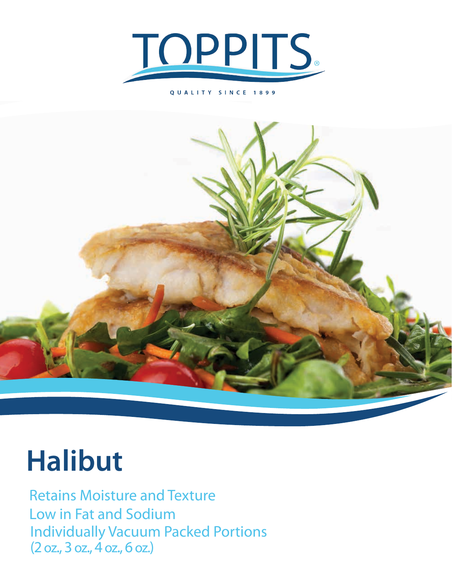

## QUALITY SINCE 1899



## **Halibut**

Retains Moisture and Texture Low in Fat and Sodium Individually Vacuum Packed Portions (2 oz., 3 oz., 4 oz., 6 oz.)